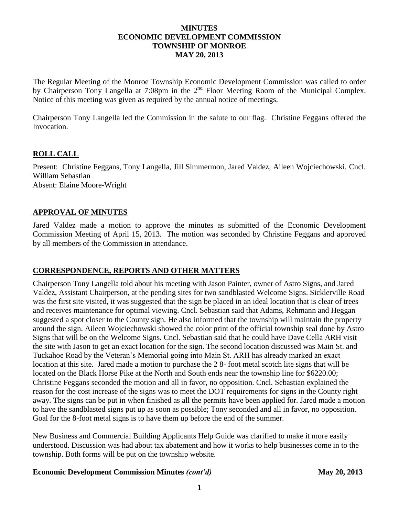## **MINUTES ECONOMIC DEVELOPMENT COMMISSION TOWNSHIP OF MONROE MAY 20, 2013**

The Regular Meeting of the Monroe Township Economic Development Commission was called to order by Chairperson Tony Langella at 7:08pm in the 2<sup>nd</sup> Floor Meeting Room of the Municipal Complex. Notice of this meeting was given as required by the annual notice of meetings.

Chairperson Tony Langella led the Commission in the salute to our flag. Christine Feggans offered the Invocation.

## **ROLL CALL**

Present: Christine Feggans, Tony Langella, Jill Simmermon, Jared Valdez, Aileen Wojciechowski, Cncl. William Sebastian Absent: Elaine Moore-Wright

## **APPROVAL OF MINUTES**

Jared Valdez made a motion to approve the minutes as submitted of the Economic Development Commission Meeting of April 15, 2013. The motion was seconded by Christine Feggans and approved by all members of the Commission in attendance.

# **CORRESPONDENCE, REPORTS AND OTHER MATTERS**

Chairperson Tony Langella told about his meeting with Jason Painter, owner of Astro Signs, and Jared Valdez, Assistant Chairperson, at the pending sites for two sandblasted Welcome Signs. Sicklerville Road was the first site visited, it was suggested that the sign be placed in an ideal location that is clear of trees and receives maintenance for optimal viewing. Cncl. Sebastian said that Adams, Rehmann and Heggan suggested a spot closer to the County sign. He also informed that the township will maintain the property around the sign. Aileen Wojciechowski showed the color print of the official township seal done by Astro Signs that will be on the Welcome Signs. Cncl. Sebastian said that he could have Dave Cella ARH visit the site with Jason to get an exact location for the sign. The second location discussed was Main St. and Tuckahoe Road by the Veteran's Memorial going into Main St. ARH has already marked an exact location at this site. Jared made a motion to purchase the 2 8- foot metal scotch lite signs that will be located on the Black Horse Pike at the North and South ends near the township line for \$6220.00; Christine Feggans seconded the motion and all in favor, no opposition. Cncl. Sebastian explained the reason for the cost increase of the signs was to meet the DOT requirements for signs in the County right away. The signs can be put in when finished as all the permits have been applied for. Jared made a motion to have the sandblasted signs put up as soon as possible; Tony seconded and all in favor, no opposition. Goal for the 8-foot metal signs is to have them up before the end of the summer.

New Business and Commercial Building Applicants Help Guide was clarified to make it more easily understood. Discussion was had about tax abatement and how it works to help businesses come in to the township. Both forms will be put on the township website.

#### **Economic Development Commission Minutes** *(cont'd)* **May 20, 2013**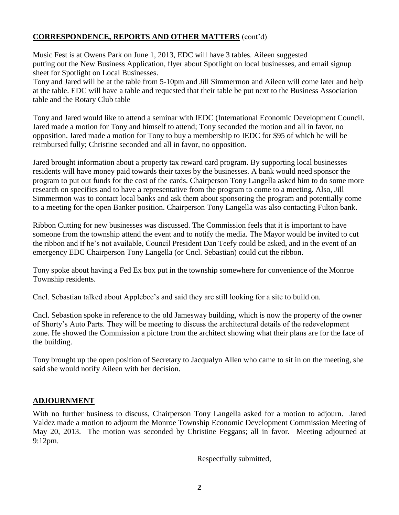# **CORRESPONDENCE, REPORTS AND OTHER MATTERS** (cont'd)

Music Fest is at Owens Park on June 1, 2013, EDC will have 3 tables. Aileen suggested putting out the New Business Application, flyer about Spotlight on local businesses, and email signup sheet for Spotlight on Local Businesses.

Tony and Jared will be at the table from 5-10pm and Jill Simmermon and Aileen will come later and help at the table. EDC will have a table and requested that their table be put next to the Business Association table and the Rotary Club table

Tony and Jared would like to attend a seminar with IEDC (International Economic Development Council. Jared made a motion for Tony and himself to attend; Tony seconded the motion and all in favor, no opposition. Jared made a motion for Tony to buy a membership to IEDC for \$95 of which he will be reimbursed fully; Christine seconded and all in favor, no opposition.

Jared brought information about a property tax reward card program. By supporting local businesses residents will have money paid towards their taxes by the businesses. A bank would need sponsor the program to put out funds for the cost of the cards. Chairperson Tony Langella asked him to do some more research on specifics and to have a representative from the program to come to a meeting. Also, Jill Simmermon was to contact local banks and ask them about sponsoring the program and potentially come to a meeting for the open Banker position. Chairperson Tony Langella was also contacting Fulton bank.

Ribbon Cutting for new businesses was discussed. The Commission feels that it is important to have someone from the township attend the event and to notify the media. The Mayor would be invited to cut the ribbon and if he's not available, Council President Dan Teefy could be asked, and in the event of an emergency EDC Chairperson Tony Langella (or Cncl. Sebastian) could cut the ribbon.

Tony spoke about having a Fed Ex box put in the township somewhere for convenience of the Monroe Township residents.

Cncl. Sebastian talked about Applebee's and said they are still looking for a site to build on.

Cncl. Sebastion spoke in reference to the old Jamesway building, which is now the property of the owner of Shorty's Auto Parts. They will be meeting to discuss the architectural details of the redevelopment zone. He showed the Commission a picture from the architect showing what their plans are for the face of the building.

Tony brought up the open position of Secretary to Jacqualyn Allen who came to sit in on the meeting, she said she would notify Aileen with her decision.

# **ADJOURNMENT**

With no further business to discuss, Chairperson Tony Langella asked for a motion to adjourn. Jared Valdez made a motion to adjourn the Monroe Township Economic Development Commission Meeting of May 20, 2013. The motion was seconded by Christine Feggans; all in favor. Meeting adjourned at 9:12pm.

Respectfully submitted,